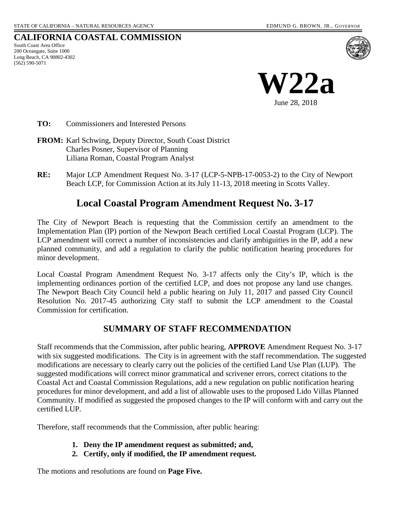# **CALIFORNIA COASTAL COMMISSION**

South Coast Area Office 200 Oceangate, Suite 1000 Long Beach, CA 90802-4302 (562) 590-5071



**TO:** Commissioners and Interested Persons

- **FROM:** Karl Schwing, Deputy Director, South Coast District Charles Posner, Supervisor of Planning Liliana Roman, Coastal Program Analyst
- **RE:** Major LCP Amendment Request No. 3-17 (LCP-5-NPB-17-0053-2) to the City of Newport Beach LCP, for Commission Action at its July 11-13, 2018 meeting in Scotts Valley.

# **Local Coastal Program Amendment Request No. 3-17**

The City of Newport Beach is requesting that the Commission certify an amendment to the Implementation Plan (IP) portion of the Newport Beach certified Local Coastal Program (LCP). The LCP amendment will correct a number of inconsistencies and clarify ambiguities in the IP, add a new planned community, and add a regulation to clarify the public notification hearing procedures for minor development.

Local Coastal Program Amendment Request No. 3-17 affects only the City's IP, which is the implementing ordinances portion of the certified LCP, and does not propose any land use changes. The Newport Beach City Council held a public hearing on July 11, 2017 and passed City Council Resolution No. 2017-45 authorizing City staff to submit the LCP amendment to the Coastal Commission for certification.

# **SUMMARY OF STAFF RECOMMENDATION**

Staff recommends that the Commission, after public hearing, **APPROVE** Amendment Request No. 3-17 with six suggested modifications. The City is in agreement with the staff recommendation. The suggested modifications are necessary to clearly carry out the policies of the certified Land Use Plan (LUP). The suggested modifications will correct minor grammatical and scrivener errors, correct citations to the Coastal Act and Coastal Commission Regulations, add a new regulation on public notification hearing procedures for minor development, and add a list of allowable uses to the proposed Lido Villas Planned Community. If modified as suggested the proposed changes to the IP will conform with and carry out the certified LUP.

Therefore, staff recommends that the Commission, after public hearing:

- **1. Deny the IP amendment request as submitted; and,**
- **2. Certify, only if modified, the IP amendment request.**

The motions and resolutions are found on **Page Five.**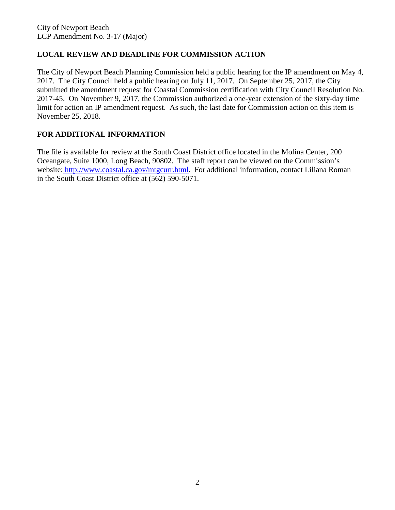# **LOCAL REVIEW AND DEADLINE FOR COMMISSION ACTION**

The City of Newport Beach Planning Commission held a public hearing for the IP amendment on May 4, 2017. The City Council held a public hearing on July 11, 2017. On September 25, 2017, the City submitted the amendment request for Coastal Commission certification with City Council Resolution No. 2017-45. On November 9, 2017, the Commission authorized a one-year extension of the sixty-day time limit for action an IP amendment request. As such, the last date for Commission action on this item is November 25, 2018.

# **FOR ADDITIONAL INFORMATION**

The file is available for review at the South Coast District office located in the Molina Center, 200 Oceangate, Suite 1000, Long Beach, 90802. The staff report can be viewed on the Commission's website: http://www.coastal.ca.gov/mtgcurr.html. For additional information, contact Liliana Roman in the South Coast District office at (562) 590-5071.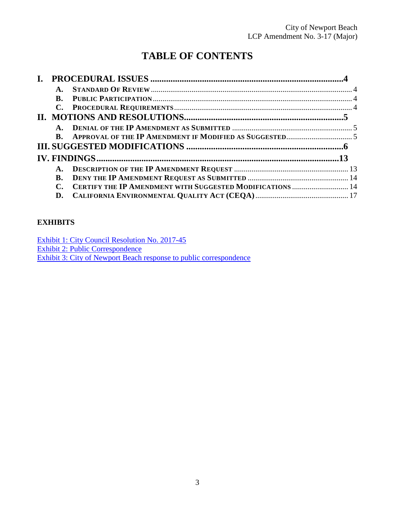# **TABLE OF CONTENTS**

| <b>B.</b>      |                                                           |  |
|----------------|-----------------------------------------------------------|--|
| $\mathbf{C}$ . |                                                           |  |
|                |                                                           |  |
| $\mathbf{A}$ . |                                                           |  |
| <b>B.</b>      |                                                           |  |
|                |                                                           |  |
|                |                                                           |  |
| $\mathbf{A}$ . |                                                           |  |
| <b>B.</b>      |                                                           |  |
|                | CERTIFY THE IP AMENDMENT WITH SUGGESTED MODIFICATIONS  14 |  |
| D.             |                                                           |  |

# **EXHIBITS**

[Exhibit 1: City Council Resolution No. 2017-45](https://documents.coastal.ca.gov/reports/2018/7/W22a/W22a-7-2018-exhibits.pdf) [Exhibit 2: Public Correspondence](https://documents.coastal.ca.gov/reports/2018/7/W22a/W22a-7-2018-exhibits.pdf) [Exhibit 3: City of Newport Beach response to public correspondence](https://documents.coastal.ca.gov/reports/2018/7/W22a/W22a-7-2018-exhibits.pdf)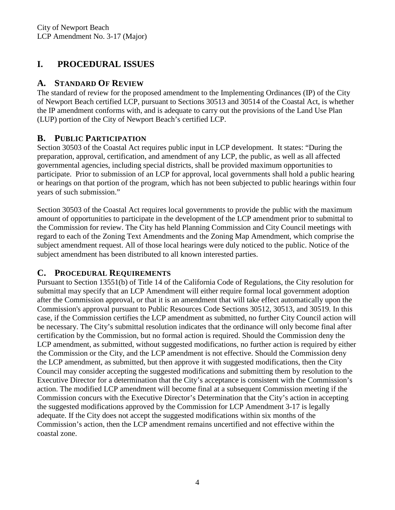# <span id="page-3-0"></span>**I. PROCEDURAL ISSUES**

# <span id="page-3-1"></span>**A. STANDARD OF REVIEW**

The standard of review for the proposed amendment to the Implementing Ordinances (IP) of the City of Newport Beach certified LCP, pursuant to Sections 30513 and 30514 of the Coastal Act, is whether the IP amendment conforms with, and is adequate to carry out the provisions of the Land Use Plan (LUP) portion of the City of Newport Beach's certified LCP.

# <span id="page-3-2"></span>**B. PUBLIC PARTICIPATION**

Section 30503 of the Coastal Act requires public input in LCP development. It states: "During the preparation, approval, certification, and amendment of any LCP, the public, as well as all affected governmental agencies, including special districts, shall be provided maximum opportunities to participate. Prior to submission of an LCP for approval, local governments shall hold a public hearing or hearings on that portion of the program, which has not been subjected to public hearings within four years of such submission."

Section 30503 of the Coastal Act requires local governments to provide the public with the maximum amount of opportunities to participate in the development of the LCP amendment prior to submittal to the Commission for review. The City has held Planning Commission and City Council meetings with regard to each of the Zoning Text Amendments and the Zoning Map Amendment, which comprise the subject amendment request. All of those local hearings were duly noticed to the public. Notice of the subject amendment has been distributed to all known interested parties.

# <span id="page-3-3"></span>**C. PROCEDURAL REQUIREMENTS**

Pursuant to Section 13551(b) of Title 14 of the California Code of Regulations, the City resolution for submittal may specify that an LCP Amendment will either require formal local government adoption after the Commission approval, or that it is an amendment that will take effect automatically upon the Commission's approval pursuant to Public Resources Code Sections 30512, 30513, and 30519. In this case, if the Commission certifies the LCP amendment as submitted, no further City Council action will be necessary. The City's submittal resolution indicates that the ordinance will only become final after certification by the Commission, but no formal action is required. Should the Commission deny the LCP amendment, as submitted, without suggested modifications, no further action is required by either the Commission or the City, and the LCP amendment is not effective. Should the Commission deny the LCP amendment, as submitted, but then approve it with suggested modifications, then the City Council may consider accepting the suggested modifications and submitting them by resolution to the Executive Director for a determination that the City's acceptance is consistent with the Commission's action. The modified LCP amendment will become final at a subsequent Commission meeting if the Commission concurs with the Executive Director's Determination that the City's action in accepting the suggested modifications approved by the Commission for LCP Amendment 3-17 is legally adequate. If the City does not accept the suggested modifications within six months of the Commission's action, then the LCP amendment remains uncertified and not effective within the coastal zone.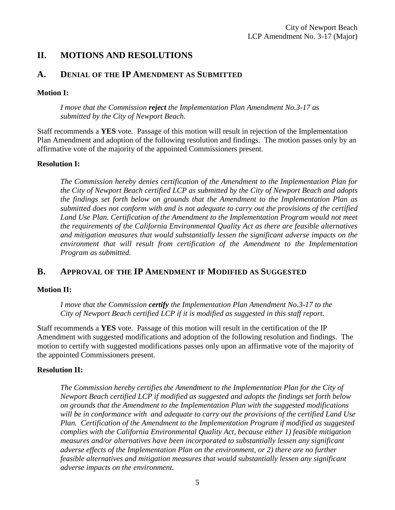# <span id="page-4-0"></span>**II. MOTIONS AND RESOLUTIONS**

# <span id="page-4-1"></span>**A. DENIAL OF THE IP AMENDMENT AS SUBMITTED**

### **Motion I:**

*I move that the Commission reject the Implementation Plan Amendment No.3-17 as submitted by the City of Newport Beach.* 

Staff recommends a **YES** vote. Passage of this motion will result in rejection of the Implementation Plan Amendment and adoption of the following resolution and findings. The motion passes only by an affirmative vote of the majority of the appointed Commissioners present.

#### **Resolution I:**

*The Commission hereby denies certification of the Amendment to the Implementation Plan for the City of Newport Beach certified LCP as submitted by the City of Newport Beach and adopts the findings set forth below on grounds that the Amendment to the Implementation Plan as submitted does not conform with and is not adequate to carry out the provisions of the certified*  Land Use Plan. Certification of the Amendment to the Implementation Program would not meet *the requirements of the California Environmental Quality Act as there are feasible alternatives and mitigation measures that would substantially lessen the significant adverse impacts on the environment that will result from certification of the Amendment to the Implementation Program as submitted.* 

# <span id="page-4-2"></span>**B. APPROVAL OF THE IP AMENDMENT IF MODIFIED AS SUGGESTED**

### **Motion II:**

*I move that the Commission certify the Implementation Plan Amendment No.3-17 to the City of Newport Beach certified LCP if it is modified as suggested in this staff report.*

Staff recommends a **YES** vote. Passage of this motion will result in the certification of the IP Amendment with suggested modifications and adoption of the following resolution and findings. The motion to certify with suggested modifications passes only upon an affirmative vote of the majority of the appointed Commissioners present.

### **Resolution II:**

*The Commission hereby certifies the Amendment to the Implementation Plan for the City of Newport Beach certified LCP if modified as suggested and adopts the findings set forth below on grounds that the Amendment to the Implementation Plan with the suggested modifications will be in conformance with and adequate to carry out the provisions of the certified Land Use Plan. Certification of the Amendment to the Implementation Program if modified as suggested complies with the California Environmental Quality Act, because either 1) feasible mitigation measures and/or alternatives have been incorporated to substantially lessen any significant adverse effects of the Implementation Plan on the environment, or 2) there are no further feasible alternatives and mitigation measures that would substantially lessen any significant adverse impacts on the environment.*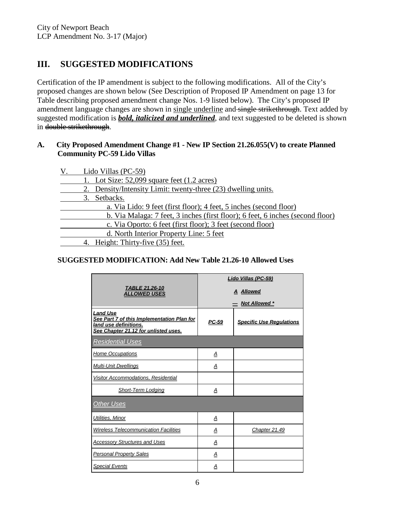# <span id="page-5-0"></span>**III. SUGGESTED MODIFICATIONS**

Certification of the IP amendment is subject to the following modifications. All of the City's proposed changes are shown below (See Description of Proposed IP Amendment on page 13 for Table describing proposed amendment change Nos. 1-9 listed below). The City's proposed IP amendment language changes are shown in single underline and single strikethrough. Text added by suggested modification is *bold, italicized and underlined*, and text suggested to be deleted is shown in double strikethrough.

### **A. City Proposed Amendment Change #1 - New IP Section 21.26.055(V) to create Planned Community PC-59 Lido Villas**

| V. | Lido Villas (PC-59)                                                            |
|----|--------------------------------------------------------------------------------|
|    | 1. Lot Size: $52,099$ square feet $(1.2 \text{ acres})$                        |
|    | 2. Density/Intensity Limit: twenty-three (23) dwelling units.                  |
|    | 3. Setbacks.                                                                   |
|    | a. Via Lido: 9 feet (first floor); 4 feet, 5 inches (second floor)             |
|    | b. Via Malaga: 7 feet, 3 inches (first floor); 6 feet, 6 inches (second floor) |
|    | c. Via Oporto: 6 feet (first floor); 3 feet (second floor)                     |
|    | d. North Interior Property Line: 5 feet                                        |
|    | 4. Height: Thirty-five (35) feet.                                              |

# **SUGGESTED MODIFICATION: Add New Table 21.26-10 Allowed Uses**

|                                                                                                                                | Lido Villas (PC-59)     |                                 |  |  |
|--------------------------------------------------------------------------------------------------------------------------------|-------------------------|---------------------------------|--|--|
| TABLE 21.26-10<br><b>ALLOWED USES</b>                                                                                          | <b>A</b> Allowed        |                                 |  |  |
|                                                                                                                                |                         | <b>Not Allowed *</b>            |  |  |
| <b>Land Use</b><br>See Part 7 of this Implementation Plan for<br>land use definitions.<br>See Chapter 21.12 for unlisted uses. | PC-59                   | <b>Specific Use Regulations</b> |  |  |
| <u>Residential Uses</u>                                                                                                        |                         |                                 |  |  |
| <b>Home Occupations</b>                                                                                                        | Α                       |                                 |  |  |
| <b>Multi-Unit Dwellings</b>                                                                                                    | Α                       |                                 |  |  |
| Visitor Accommodations, Residential                                                                                            |                         |                                 |  |  |
| <b>Short-Term Lodging</b>                                                                                                      | $\overline{\mathbf{A}}$ |                                 |  |  |
| <b>Other Uses</b>                                                                                                              |                         |                                 |  |  |
| Utilities, Minor                                                                                                               | Α                       |                                 |  |  |
| <b>Wireless Telecommunication Facilities</b>                                                                                   | А                       | Chapter 21.49                   |  |  |
| <b>Accessory Structures and Uses</b>                                                                                           | А                       |                                 |  |  |
| <b>Personal Property Sales</b>                                                                                                 | А                       |                                 |  |  |
| <b>Special Events</b>                                                                                                          | А                       |                                 |  |  |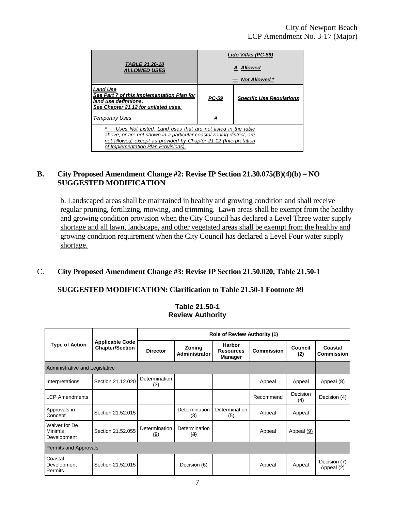|                                                                                                                                                                                                                                                |                  | Lido Villas (PC-59)             |  |  |  |
|------------------------------------------------------------------------------------------------------------------------------------------------------------------------------------------------------------------------------------------------|------------------|---------------------------------|--|--|--|
| TABLE 21.26-10<br>ALLOWED USES                                                                                                                                                                                                                 | <b>A</b> Allowed |                                 |  |  |  |
|                                                                                                                                                                                                                                                |                  | $=$ Not Allowed $*$             |  |  |  |
| Land Use<br>See Part 7 of this Implementation Plan for<br>land use definitions.<br>See Chapter 21.12 for unlisted uses.                                                                                                                        | <u>PC-59</u>     | <b>Specific Use Regulations</b> |  |  |  |
| <b>Temporary Uses</b>                                                                                                                                                                                                                          | <u>A</u>         |                                 |  |  |  |
| Uses Not Listed. Land uses that are not listed in the table<br>above, or are not shown in a particular coastal zoning district, are<br>not allowed, except as provided by Chapter 21.12 (Interpretation<br>of Implementation Plan Provisions). |                  |                                 |  |  |  |

### **B. City Proposed Amendment Change #2: Revise IP Section 21.30.075(B)(4)(b) – NO SUGGESTED MODIFICATION**

b. Landscaped areas shall be maintained in healthy and growing condition and shall receive regular pruning, fertilizing, mowing, and trimming. Lawn areas shall be exempt from the healthy and growing condition provision when the City Council has declared a Level Three water supply shortage and all lawn, landscape, and other vegetated areas shall be exempt from the healthy and growing condition requirement when the City Council has declared a Level Four water supply shortage.

#### C. **City Proposed Amendment Change #3: Revise IP Section 21.50.020, Table 21.50-1**

#### **SUGGESTED MODIFICATION: Clarification to Table 21.50-1 Footnote #9**

|                                                | <b>Applicable Code</b><br><b>Chapter/Section</b> | <b>Role of Review Authority (1)</b> |                         |                                              |            |                        |                              |
|------------------------------------------------|--------------------------------------------------|-------------------------------------|-------------------------|----------------------------------------------|------------|------------------------|------------------------------|
| <b>Type of Action</b>                          |                                                  | <b>Director</b>                     | Zoning<br>Administrator | Harbor<br><b>Resources</b><br><b>Manager</b> | Commission | <b>Council</b><br>(2)  | Coastal<br><b>Commission</b> |
| Administrative and Legislative                 |                                                  |                                     |                         |                                              |            |                        |                              |
| Interpretations                                | Section 21.12.020                                | Determination<br>(3)                |                         |                                              | Appeal     | Appeal                 | Appeal (8)                   |
| <b>LCP Amendments</b>                          |                                                  |                                     |                         |                                              | Recommend  | <b>Decision</b><br>(4) | Decision (4)                 |
| Approvals in<br>Concept                        | Section 21.52.015                                |                                     | Determination<br>(3)    | Determination<br>(5)                         | Appeal     | Appeal                 |                              |
| Waiver for De<br><b>Minimis</b><br>Development | Section 21.52.055                                | Determination<br>(9)                | Determination<br>(3)    |                                              | Appeal     | Appeal (9)             |                              |
| <b>Permits and Approvals</b>                   |                                                  |                                     |                         |                                              |            |                        |                              |
| Coastal<br>Development<br>Permits              | Section 21.52.015                                |                                     | Decision (6)            |                                              | Appeal     | Appeal                 | Decision (7)<br>Appeal (2)   |

#### **Table 21.50-1 Review Authority**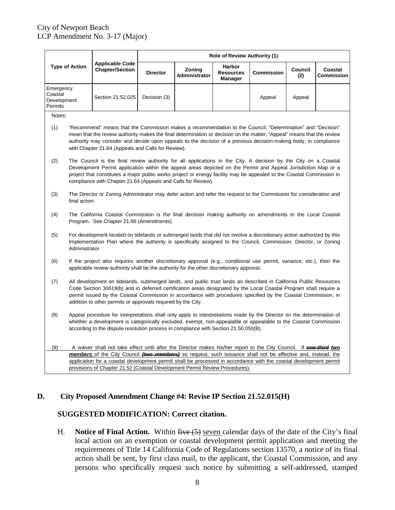| <b>Type of Action</b>                          |                                                                                                                                                                                                                                                                                                                                                                                                                                               | <b>Applicable Code</b><br><b>Chapter/Section</b>                                                                                                                                                                                                                                                                                                                                                                | <b>Role of Review Authority (1)</b> |                                |                                                     |            |                |                              |
|------------------------------------------------|-----------------------------------------------------------------------------------------------------------------------------------------------------------------------------------------------------------------------------------------------------------------------------------------------------------------------------------------------------------------------------------------------------------------------------------------------|-----------------------------------------------------------------------------------------------------------------------------------------------------------------------------------------------------------------------------------------------------------------------------------------------------------------------------------------------------------------------------------------------------------------|-------------------------------------|--------------------------------|-----------------------------------------------------|------------|----------------|------------------------------|
|                                                |                                                                                                                                                                                                                                                                                                                                                                                                                                               |                                                                                                                                                                                                                                                                                                                                                                                                                 | <b>Director</b>                     | Zoning<br><b>Administrator</b> | <b>Harbor</b><br><b>Resources</b><br><b>Manager</b> | Commission | Council<br>(2) | Coastal<br><b>Commission</b> |
| Emergency<br>Coastal<br>Development<br>Permits |                                                                                                                                                                                                                                                                                                                                                                                                                                               | Section 21.52.025                                                                                                                                                                                                                                                                                                                                                                                               | Decision (3)                        |                                |                                                     | Appeal     | Appeal         |                              |
| Notes:                                         |                                                                                                                                                                                                                                                                                                                                                                                                                                               |                                                                                                                                                                                                                                                                                                                                                                                                                 |                                     |                                |                                                     |            |                |                              |
| (1)                                            |                                                                                                                                                                                                                                                                                                                                                                                                                                               | "Recommend" means that the Commission makes a recommendation to the Council; "Determination" and "Decision"<br>mean that the review authority makes the final determination or decision on the matter; "Appeal" means that the review<br>authority may consider and decide upon appeals to the decision of a previous decision-making body, in compliance<br>with Chapter 21.64 (Appeals and Calls for Review). |                                     |                                |                                                     |            |                |                              |
| (2)                                            | The Council is the final review authority for all applications in the City. A decision by the City on a Coastal<br>Development Permit application within the appeal areas depicted on the Permit and Appeal Jurisdiction Map or a<br>project that constitutes a major public works project or energy facility may be appealed to the Coastal Commission in<br>compliance with Chapter 21.64 (Appeals and Calls for Review).                   |                                                                                                                                                                                                                                                                                                                                                                                                                 |                                     |                                |                                                     |            |                |                              |
| (3)                                            | The Director or Zoning Administrator may defer action and refer the request to the Commission for consideration and<br>final action.                                                                                                                                                                                                                                                                                                          |                                                                                                                                                                                                                                                                                                                                                                                                                 |                                     |                                |                                                     |            |                |                              |
| (4)                                            | The California Coastal Commission is the final decision making authority on amendments to the Local Coastal<br>Program. See Chapter 21.66 (Amendments).                                                                                                                                                                                                                                                                                       |                                                                                                                                                                                                                                                                                                                                                                                                                 |                                     |                                |                                                     |            |                |                              |
| (5)                                            | For development located on tidelands or submerged lands that did not involve a discretionary action authorized by this<br>Implementation Plan where the authority is specifically assigned to the Council, Commission, Director, or Zoning<br>Administrator                                                                                                                                                                                   |                                                                                                                                                                                                                                                                                                                                                                                                                 |                                     |                                |                                                     |            |                |                              |
| (6)                                            | If the project also requires another discretionary approval (e.g., conditional use permit, variance, etc.), then the<br>applicable review authority shall be the authority for the other discretionary approval.                                                                                                                                                                                                                              |                                                                                                                                                                                                                                                                                                                                                                                                                 |                                     |                                |                                                     |            |                |                              |
| (7)                                            | All development on tidelands, submerged lands, and public trust lands as described in California Public Resources<br>Code Section 30519(b) and in deferred certification areas designated by the Local Coastal Program shall require a<br>permit issued by the Coastal Commission in accordance with procedures specified by the Coastal Commission, in<br>addition to other permits or approvals required by the City.                       |                                                                                                                                                                                                                                                                                                                                                                                                                 |                                     |                                |                                                     |            |                |                              |
| (8)                                            | Appeal procedure for interpretations shall only apply to interpretations made by the Director on the determination of<br>whether a development is categorically excluded, exempt, non-appealable or appealable to the Coastal Commission<br>according to the dispute resolution process in compliance with Section 21.50.050(B).                                                                                                              |                                                                                                                                                                                                                                                                                                                                                                                                                 |                                     |                                |                                                     |            |                |                              |
| (9)                                            | A waiver shall not take effect until after the Director makes his/her report to the City Council. If <b>one-third two</b><br>members of the City Council (two members) so request, such issuance shall not be effective and, instead, the<br>application for a coastal development permit shall be processed in accordance with the coastal development permit<br>provisions of Chapter 21.52 (Coastal Development Permit Review Procedures). |                                                                                                                                                                                                                                                                                                                                                                                                                 |                                     |                                |                                                     |            |                |                              |

### **D. City Proposed Amendment Change #4: Revise IP Section 21.52.015(H)**

### **SUGGESTED MODIFICATION: Correct citation.**

H. **Notice of Final Action.** Within  $\overline{five(5)}$  seven calendar days of the date of the City's final local action on an exemption or coastal development permit application and meeting the requirements of Title 14 California Code of Regulations section 13570, a notice of its final action shall be sent, by first class mail, to the applicant, the Coastal Commission, and any persons who specifically request such notice by submitting a self-addressed, stamped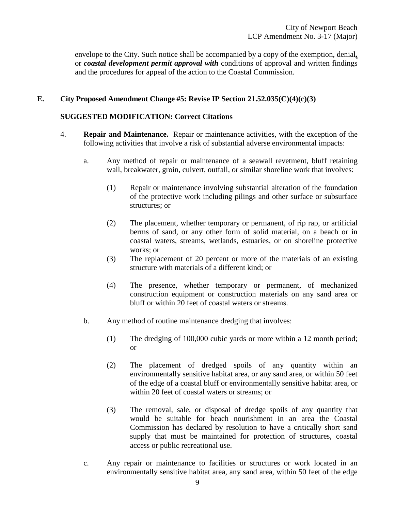envelope to the City. Such notice shall be accompanied by a copy of the exemption, denial*,*  or *coastal development permit approval with* conditions of approval and written findings and the procedures for appeal of the action to the Coastal Commission.

### **E. City Proposed Amendment Change #5: Revise IP Section 21.52.035(C)(4)(c)(3)**

### **SUGGESTED MODIFICATION: Correct Citations**

- 4. **Repair and Maintenance.** Repair or maintenance activities, with the exception of the following activities that involve a risk of substantial adverse environmental impacts:
	- a. Any method of repair or maintenance of a seawall revetment, bluff retaining wall, breakwater, groin, culvert, outfall, or similar shoreline work that involves:
		- (1) Repair or maintenance involving substantial alteration of the foundation of the protective work including pilings and other surface or subsurface structures; or
		- (2) The placement, whether temporary or permanent, of rip rap, or artificial berms of sand, or any other form of solid material, on a beach or in coastal waters, streams, wetlands, estuaries, or on shoreline protective works; or
		- (3) The replacement of 20 percent or more of the materials of an existing structure with materials of a different kind; or
		- (4) The presence, whether temporary or permanent, of mechanized construction equipment or construction materials on any sand area or bluff or within 20 feet of coastal waters or streams.
	- b. Any method of routine maintenance dredging that involves:
		- (1) The dredging of 100,000 cubic yards or more within a 12 month period; or
		- (2) The placement of dredged spoils of any quantity within an environmentally sensitive habitat area, or any sand area, or within 50 feet of the edge of a coastal bluff or environmentally sensitive habitat area, or within 20 feet of coastal waters or streams; or
		- (3) The removal, sale, or disposal of dredge spoils of any quantity that would be suitable for beach nourishment in an area the Coastal Commission has declared by resolution to have a critically short sand supply that must be maintained for protection of structures, coastal access or public recreational use.
	- c. Any repair or maintenance to facilities or structures or work located in an environmentally sensitive habitat area, any sand area, within 50 feet of the edge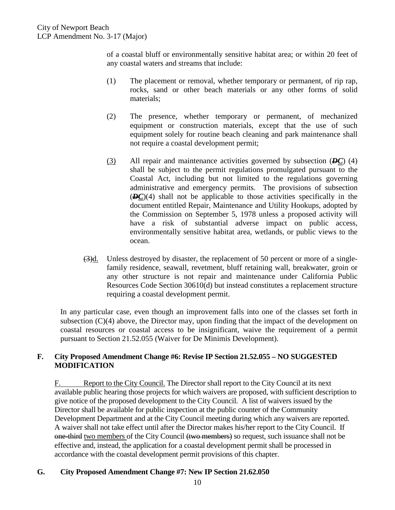of a coastal bluff or environmentally sensitive habitat area; or within 20 feet of any coastal waters and streams that include:

- (1) The placement or removal, whether temporary or permanent, of rip rap, rocks, sand or other beach materials or any other forms of solid materials;
- (2) The presence, whether temporary or permanent, of mechanized equipment or construction materials, except that the use of such equipment solely for routine beach cleaning and park maintenance shall not require a coastal development permit;
- (3) All repair and maintenance activities governed by subsection (*DC*) (4) shall be subject to the permit regulations promulgated pursuant to the Coastal Act, including but not limited to the regulations governing administrative and emergency permits. The provisions of subsection (*DC*)(4) shall not be applicable to those activities specifically in the document entitled Repair, Maintenance and Utility Hookups, adopted by the Commission on September 5, 1978 unless a proposed activity will have a risk of substantial adverse impact on public access, environmentally sensitive habitat area, wetlands, or public views to the ocean.
- (3)d. Unless destroyed by disaster, the replacement of 50 percent or more of a singlefamily residence, seawall, revetment, bluff retaining wall, breakwater, groin or any other structure is not repair and maintenance under California Public Resources Code Section 30610(d) but instead constitutes a replacement structure requiring a coastal development permit.

In any particular case, even though an improvement falls into one of the classes set forth in subsection  $(C)(4)$  above, the Director may, upon finding that the impact of the development on coastal resources or coastal access to be insignificant, waive the requirement of a permit pursuant to Section 21.52.055 (Waiver for De Minimis Development).

#### **F. City Proposed Amendment Change #6: Revise IP Section 21.52.055 – NO SUGGESTED MODIFICATION**

F. Report to the City Council. The Director shall report to the City Council at its next available public hearing those projects for which waivers are proposed, with sufficient description to give notice of the proposed development to the City Council. A list of waivers issued by the Director shall be available for public inspection at the public counter of the Community Development Department and at the City Council meeting during which any waivers are reported. A waiver shall not take effect until after the Director makes his/her report to the City Council. If one-third two members of the City Council (two members) so request, such issuance shall not be effective and, instead, the application for a coastal development permit shall be processed in accordance with the coastal development permit provisions of this chapter.

### **G. City Proposed Amendment Change #7: New IP Section 21.62.050**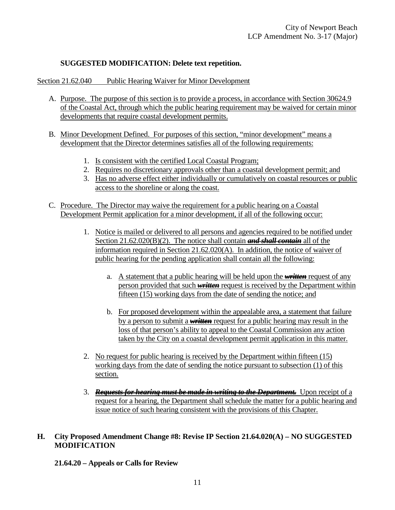### **SUGGESTED MODIFICATION: Delete text repetition.**

Section 21.62.040 Public Hearing Waiver for Minor Development

- A. Purpose. The purpose of this section is to provide a process, in accordance with Section 30624.9 of the Coastal Act, through which the public hearing requirement may be waived for certain minor developments that require coastal development permits.
- B. Minor Development Defined. For purposes of this section, "minor development" means a development that the Director determines satisfies all of the following requirements:
	- 1. Is consistent with the certified Local Coastal Program;
	- 2. Requires no discretionary approvals other than a coastal development permit; and
	- 3. Has no adverse effect either individually or cumulatively on coastal resources or public access to the shoreline or along the coast.
- C. Procedure. The Director may waive the requirement for a public hearing on a Coastal Development Permit application for a minor development, if all of the following occur:
	- 1. Notice is mailed or delivered to all persons and agencies required to be notified under Section 21.62.020(B)(2). The notice shall contain *and shall contain* all of the information required in Section 21.62.020(A). In addition, the notice of waiver of public hearing for the pending application shall contain all the following:
		- a. A statement that a public hearing will be held upon the *written* request of any person provided that such *written* request is received by the Department within fifteen (15) working days from the date of sending the notice; and
		- b. For proposed development within the appealable area, a statement that failure by a person to submit a *written* request for a public hearing may result in the loss of that person's ability to appeal to the Coastal Commission any action taken by the City on a coastal development permit application in this matter.
	- 2. No request for public hearing is received by the Department within fifteen (15) working days from the date of sending the notice pursuant to subsection (1) of this section.
	- 3. *Requests for hearing must be made in writing to the Department.* Upon receipt of a request for a hearing, the Department shall schedule the matter for a public hearing and issue notice of such hearing consistent with the provisions of this Chapter.

## **H. City Proposed Amendment Change #8: Revise IP Section 21.64.020(A) – NO SUGGESTED MODIFICATION**

**21.64.20 – Appeals or Calls for Review**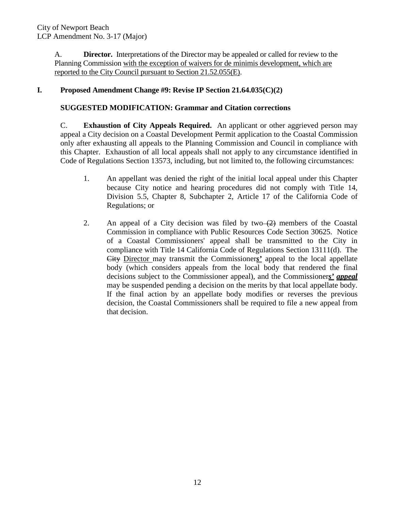A. **Director.** Interpretations of the Director may be appealed or called for review to the Planning Commission with the exception of waivers for de minimis development, which are reported to the City Council pursuant to Section 21.52.055(E).

## **I. Proposed Amendment Change #9: Revise IP Section 21.64.035(C)(2)**

### **SUGGESTED MODIFICATION: Grammar and Citation corrections**

C. **Exhaustion of City Appeals Required.** An applicant or other aggrieved person may appeal a City decision on a Coastal Development Permit application to the Coastal Commission only after exhausting all appeals to the Planning Commission and Council in compliance with this Chapter. Exhaustion of all local appeals shall not apply to any circumstance identified in Code of Regulations Section 13573, including, but not limited to, the following circumstances:

- 1. An appellant was denied the right of the initial local appeal under this Chapter because City notice and hearing procedures did not comply with Title 14, Division 5.5, Chapter 8, Subchapter 2, Article 17 of the California Code of Regulations; or
- <span id="page-11-0"></span>2. An appeal of a City decision was filed by two  $\left(2\right)$  members of the Coastal Commission in compliance with Public Resources Code Section 30625. Notice of a Coastal Commissioners' appeal shall be transmitted to the City in compliance with Title 14 California Code of Regulations Section 13111(d). The City Director may transmit the Commissioner*s'* appeal to the local appellate body (which considers appeals from the local body that rendered the final decisions subject to the Commissioner appeal), and the Commissioner*s' appeal* may be suspended pending a decision on the merits by that local appellate body. If the final action by an appellate body modifies or reverses the previous decision, the Coastal Commissioners shall be required to file a new appeal from that decision.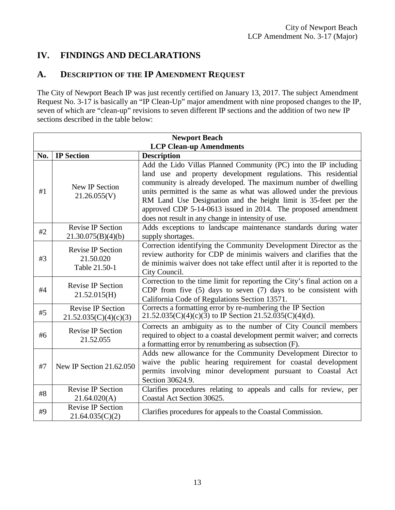# **IV. FINDINGS AND DECLARATIONS**

# <span id="page-12-0"></span>**A. DESCRIPTION OF THE IP AMENDMENT REQUEST**

The City of Newport Beach IP was just recently certified on January 13, 2017. The subject Amendment Request No. 3-17 is basically an "IP Clean-Up" major amendment with nine proposed changes to the IP, seven of which are "clean-up" revisions to seven different IP sections and the addition of two new IP sections described in the table below:

<span id="page-12-1"></span>

| <b>Newport Beach</b>           |                                                                                                                                                                                                                                                                                               |                                                                                                                                                                                                                                                                                                                                                                                                                                                                       |  |  |  |
|--------------------------------|-----------------------------------------------------------------------------------------------------------------------------------------------------------------------------------------------------------------------------------------------------------------------------------------------|-----------------------------------------------------------------------------------------------------------------------------------------------------------------------------------------------------------------------------------------------------------------------------------------------------------------------------------------------------------------------------------------------------------------------------------------------------------------------|--|--|--|
| <b>LCP Clean-up Amendments</b> |                                                                                                                                                                                                                                                                                               |                                                                                                                                                                                                                                                                                                                                                                                                                                                                       |  |  |  |
| No.                            | <b>IP</b> Section                                                                                                                                                                                                                                                                             | <b>Description</b>                                                                                                                                                                                                                                                                                                                                                                                                                                                    |  |  |  |
| #1                             | <b>New IP Section</b><br>21.26.055(V)                                                                                                                                                                                                                                                         | Add the Lido Villas Planned Community (PC) into the IP including<br>land use and property development regulations. This residential<br>community is already developed. The maximum number of dwelling<br>units permitted is the same as what was allowed under the previous<br>RM Land Use Designation and the height limit is 35-feet per the<br>approved CDP 5-14-0613 issued in 2014. The proposed amendment<br>does not result in any change in intensity of use. |  |  |  |
| #2                             | <b>Revise IP Section</b><br>21.30.075(B)(4)(b)                                                                                                                                                                                                                                                | Adds exceptions to landscape maintenance standards during water<br>supply shortages.                                                                                                                                                                                                                                                                                                                                                                                  |  |  |  |
| #3                             | Correction identifying the Community Development Director as the<br><b>Revise IP Section</b><br>review authority for CDP de minimis waivers and clarifies that the<br>21.50.020<br>de minimis waiver does not take effect until after it is reported to the<br>Table 21.50-1<br>City Council. |                                                                                                                                                                                                                                                                                                                                                                                                                                                                       |  |  |  |
| #4                             | Correction to the time limit for reporting the City's final action on a<br>Revise IP Section<br>CDP from five (5) days to seven (7) days to be consistent with<br>21.52.015(H)<br>California Code of Regulations Section 13571.                                                               |                                                                                                                                                                                                                                                                                                                                                                                                                                                                       |  |  |  |
| #5                             | <b>Revise IP Section</b><br>21.52.035(C)(4)(c)(3)                                                                                                                                                                                                                                             | Corrects a formatting error by re-numbering the IP Section<br>$21.52.035(C)(4)(c)(3)$ to IP Section 21.52.035(C)(4)(d).                                                                                                                                                                                                                                                                                                                                               |  |  |  |
| #6                             | <b>Revise IP Section</b><br>21.52.055                                                                                                                                                                                                                                                         | Corrects an ambiguity as to the number of City Council members<br>required to object to a coastal development permit waiver; and corrects<br>a formatting error by renumbering as subsection (F).                                                                                                                                                                                                                                                                     |  |  |  |
| #7                             | New IP Section 21.62.050                                                                                                                                                                                                                                                                      | Adds new allowance for the Community Development Director to<br>waive the public hearing requirement for coastal development<br>permits involving minor development pursuant to Coastal Act<br>Section 30624.9.                                                                                                                                                                                                                                                       |  |  |  |
| #8                             | <b>Revise IP Section</b><br>21.64.020(A)                                                                                                                                                                                                                                                      | Clarifies procedures relating to appeals and calls for review, per<br>Coastal Act Section 30625.                                                                                                                                                                                                                                                                                                                                                                      |  |  |  |
| #9                             | <b>Revise IP Section</b><br>21.64.035(C)(2)                                                                                                                                                                                                                                                   | Clarifies procedures for appeals to the Coastal Commission.                                                                                                                                                                                                                                                                                                                                                                                                           |  |  |  |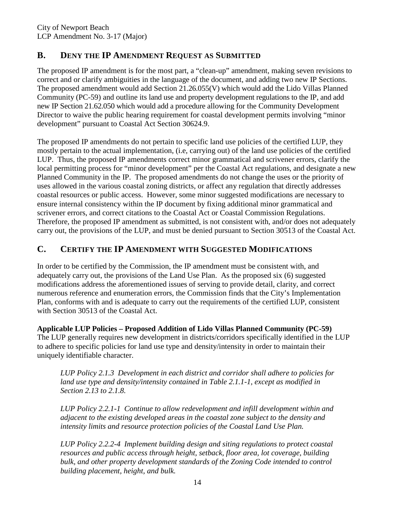# **B. DENY THE IP AMENDMENT REQUEST AS SUBMITTED**

The proposed IP amendment is for the most part, a "clean-up" amendment, making seven revisions to correct and or clarify ambiguities in the language of the document, and adding two new IP Sections. The proposed amendment would add Section 21.26.055(V) which would add the Lido Villas Planned Community (PC-59) and outline its land use and property development regulations to the IP, and add new IP Section 21.62.050 which would add a procedure allowing for the Community Development Director to waive the public hearing requirement for coastal development permits involving "minor development" pursuant to Coastal Act Section 30624.9.

The proposed IP amendments do not pertain to specific land use policies of the certified LUP, they mostly pertain to the actual implementation, (i.e, carrying out) of the land use policies of the certified LUP. Thus, the proposed IP amendments correct minor grammatical and scrivener errors, clarify the local permitting process for "minor development" per the Coastal Act regulations, and designate a new Planned Community in the IP. The proposed amendments do not change the uses or the priority of uses allowed in the various coastal zoning districts, or affect any regulation that directly addresses coastal resources or public access. However, some minor suggested modifications are necessary to ensure internal consistency within the IP document by fixing additional minor grammatical and scrivener errors, and correct citations to the Coastal Act or Coastal Commission Regulations. Therefore, the proposed IP amendment as submitted, is not consistent with, and/or does not adequately carry out, the provisions of the LUP, and must be denied pursuant to Section 30513 of the Coastal Act.

# <span id="page-13-0"></span>**C. CERTIFY THE IP AMENDMENT WITH SUGGESTED MODIFICATIONS**

In order to be certified by the Commission, the IP amendment must be consistent with, and adequately carry out, the provisions of the Land Use Plan. As the proposed six (6) suggested modifications address the aforementioned issues of serving to provide detail, clarity, and correct numerous reference and enumeration errors, the Commission finds that the City's Implementation Plan, conforms with and is adequate to carry out the requirements of the certified LUP, consistent with Section 30513 of the Coastal Act.

**Applicable LUP Policies – Proposed Addition of Lido Villas Planned Community (PC-59)**  The LUP generally requires new development in districts/corridors specifically identified in the LUP to adhere to specific policies for land use type and density/intensity in order to maintain their uniquely identifiable character.

*LUP Policy 2.1.3 Development in each district and corridor shall adhere to policies for land use type and density/intensity contained in Table 2.1.1-1, except as modified in Section 2.13 to 2.1.8.* 

*LUP Policy 2.2.1-1 Continue to allow redevelopment and infill development within and adjacent to the existing developed areas in the coastal zone subject to the density and intensity limits and resource protection policies of the Coastal Land Use Plan.* 

*LUP Policy 2.2.2-4 Implement building design and siting regulations to protect coastal resources and public access through height, setback, floor area, lot coverage, building bulk, and other property development standards of the Zoning Code intended to control building placement, height, and bulk.*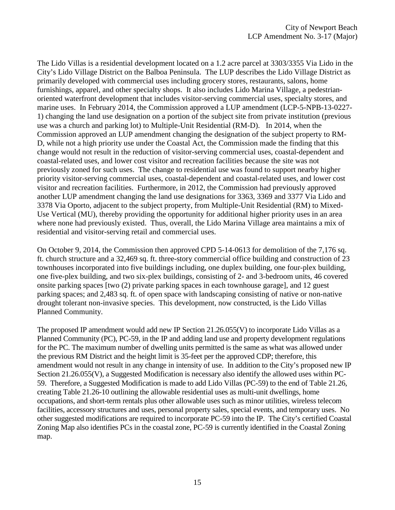The Lido Villas is a residential development located on a 1.2 acre parcel at 3303/3355 Via Lido in the City's Lido Village District on the Balboa Peninsula. The LUP describes the Lido Village District as primarily developed with commercial uses including grocery stores, restaurants, salons, home furnishings, apparel, and other specialty shops. It also includes Lido Marina Village, a pedestrianoriented waterfront development that includes visitor-serving commercial uses, specialty stores, and marine uses. In February 2014, the Commission approved a LUP amendment (LCP-5-NPB-13-0227- 1) changing the land use designation on a portion of the subject site from private institution (previous use was a church and parking lot) to Multiple-Unit Residential (RM-D). In 2014, when the Commission approved an LUP amendment changing the designation of the subject property to RM-D, while not a high priority use under the Coastal Act, the Commission made the finding that this change would not result in the reduction of visitor-serving commercial uses, coastal-dependent and coastal-related uses, and lower cost visitor and recreation facilities because the site was not previously zoned for such uses. The change to residential use was found to support nearby higher priority visitor-serving commercial uses, coastal-dependent and coastal-related uses, and lower cost visitor and recreation facilities. Furthermore, in 2012, the Commission had previously approved another LUP amendment changing the land use designations for 3363, 3369 and 3377 Via Lido and 3378 Via Oporto, adjacent to the subject property, from Multiple-Unit Residential (RM) to Mixed-Use Vertical (MU), thereby providing the opportunity for additional higher priority uses in an area where none had previously existed. Thus, overall, the Lido Marina Village area maintains a mix of residential and visitor-serving retail and commercial uses.

On October 9, 2014, the Commission then approved CPD 5-14-0613 for demolition of the 7,176 sq. ft. church structure and a 32,469 sq. ft. three-story commercial office building and construction of 23 townhouses incorporated into five buildings including, one duplex building, one four-plex building, one five-plex building, and two six-plex buildings, consisting of 2- and 3-bedroom units, 46 covered onsite parking spaces [two (2) private parking spaces in each townhouse garage], and 12 guest parking spaces; and 2,483 sq. ft. of open space with landscaping consisting of native or non-native drought tolerant non-invasive species. This development, now constructed, is the Lido Villas Planned Community.

The proposed IP amendment would add new IP Section 21.26.055(V) to incorporate Lido Villas as a Planned Community (PC), PC-59, in the IP and adding land use and property development regulations for the PC. The maximum number of dwelling units permitted is the same as what was allowed under the previous RM District and the height limit is 35-feet per the approved CDP; therefore, this amendment would not result in any change in intensity of use. In addition to the City's proposed new IP Section 21.26.055(V), a Suggested Modification is necessary also identify the allowed uses within PC-59. Therefore, a Suggested Modification is made to add Lido Villas (PC-59) to the end of Table 21.26, creating Table 21.26-10 outlining the allowable residential uses as multi-unit dwellings, home occupations, and short-term rentals plus other allowable uses such as minor utilities, wireless telecom facilities, accessory structures and uses, personal property sales, special events, and temporary uses. No other suggested modifications are required to incorporate PC-59 into the IP. The City's certified Coastal Zoning Map also identifies PCs in the coastal zone, PC-59 is currently identified in the Coastal Zoning map.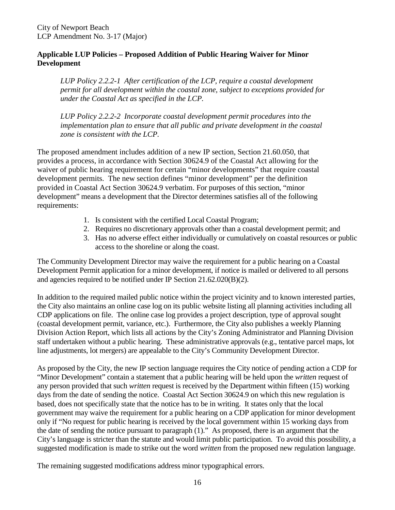### **Applicable LUP Policies – Proposed Addition of Public Hearing Waiver for Minor Development**

*LUP Policy 2.2.2-1 After certification of the LCP, require a coastal development permit for all development within the coastal zone, subject to exceptions provided for under the Coastal Act as specified in the LCP.* 

*LUP Policy 2.2.2-2 Incorporate coastal development permit procedures into the implementation plan to ensure that all public and private development in the coastal zone is consistent with the LCP.* 

The proposed amendment includes addition of a new IP section, Section 21.60.050, that provides a process, in accordance with Section 30624.9 of the Coastal Act allowing for the waiver of public hearing requirement for certain "minor developments" that require coastal development permits. The new section defines "minor development" per the definition provided in Coastal Act Section 30624.9 verbatim. For purposes of this section, "minor development" means a development that the Director determines satisfies all of the following requirements:

- 1. Is consistent with the certified Local Coastal Program;
- 2. Requires no discretionary approvals other than a coastal development permit; and
- 3. Has no adverse effect either individually or cumulatively on coastal resources or public access to the shoreline or along the coast.

The Community Development Director may waive the requirement for a public hearing on a Coastal Development Permit application for a minor development, if notice is mailed or delivered to all persons and agencies required to be notified under IP Section 21.62.020(B)(2).

In addition to the required mailed public notice within the project vicinity and to known interested parties, the City also maintains an online case log on its public website listing all planning activities including all CDP applications on file. The online case log provides a project description, type of approval sought (coastal development permit, variance, etc.). Furthermore, the City also publishes a weekly Planning Division Action Report, which lists all actions by the City's Zoning Administrator and Planning Division staff undertaken without a public hearing. These administrative approvals (e.g., tentative parcel maps, lot line adjustments, lot mergers) are appealable to the City's Community Development Director.

As proposed by the City, the new IP section language requires the City notice of pending action a CDP for "Minor Development" contain a statement that a public hearing will be held upon the *written* request of any person provided that such *written* request is received by the Department within fifteen (15) working days from the date of sending the notice. Coastal Act Section 30624.9 on which this new regulation is based, does not specifically state that the notice has to be in writing. It states only that the local government may waive the requirement for a public hearing on a CDP application for minor development only if "No request for public hearing is received by the local government within 15 working days from the date of sending the notice pursuant to paragraph (1)." As proposed, there is an argument that the City's language is stricter than the statute and would limit public participation. To avoid this possibility, a suggested modification is made to strike out the word *written* from the proposed new regulation language.

The remaining suggested modifications address minor typographical errors.